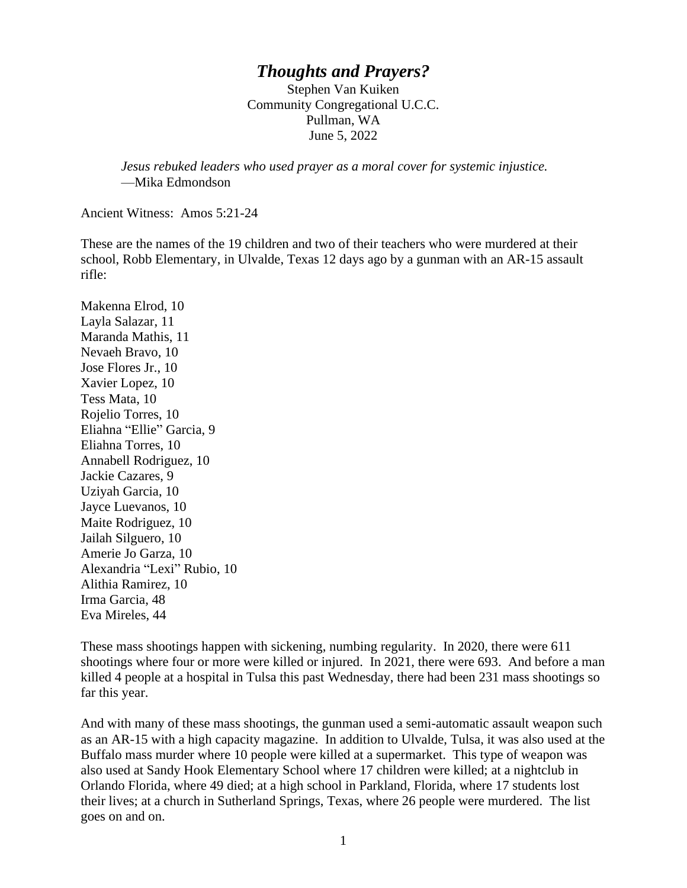## *Thoughts and Prayers?*

Stephen Van Kuiken Community Congregational U.C.C. Pullman, WA June 5, 2022

*Jesus rebuked leaders who used prayer as a moral cover for systemic injustice.* —Mika Edmondson

Ancient Witness: Amos 5:21-24

These are the names of the 19 children and two of their teachers who were murdered at their school, Robb Elementary, in Ulvalde, Texas 12 days ago by a gunman with an AR-15 assault rifle:

Makenna Elrod, 10 Layla Salazar, 11 Maranda Mathis, 11 Nevaeh Bravo, 10 Jose Flores Jr., 10 Xavier Lopez, 10 Tess Mata, 10 Rojelio Torres, 10 Eliahna "Ellie" Garcia, 9 Eliahna Torres, 10 Annabell Rodriguez, 10 Jackie Cazares, 9 Uziyah Garcia, 10 Jayce Luevanos, 10 Maite Rodriguez, 10 Jailah Silguero, 10 Amerie Jo Garza, 10 Alexandria "Lexi" Rubio, 10 Alithia Ramirez, 10 Irma Garcia, 48 Eva Mireles, 44

These mass shootings happen with sickening, numbing regularity. In 2020, there were 611 shootings where four or more were killed or injured. In 2021, there were 693. And before a man killed 4 people at a hospital in Tulsa this past Wednesday, there had been 231 mass shootings so far this year.

And with many of these mass shootings, the gunman used a semi-automatic assault weapon such as an AR-15 with a high capacity magazine. In addition to Ulvalde, Tulsa, it was also used at the Buffalo mass murder where 10 people were killed at a supermarket. This type of weapon was also used at Sandy Hook Elementary School where 17 children were killed; at a nightclub in Orlando Florida, where 49 died; at a high school in Parkland, Florida, where 17 students lost their lives; at a church in Sutherland Springs, Texas, where 26 people were murdered. The list goes on and on.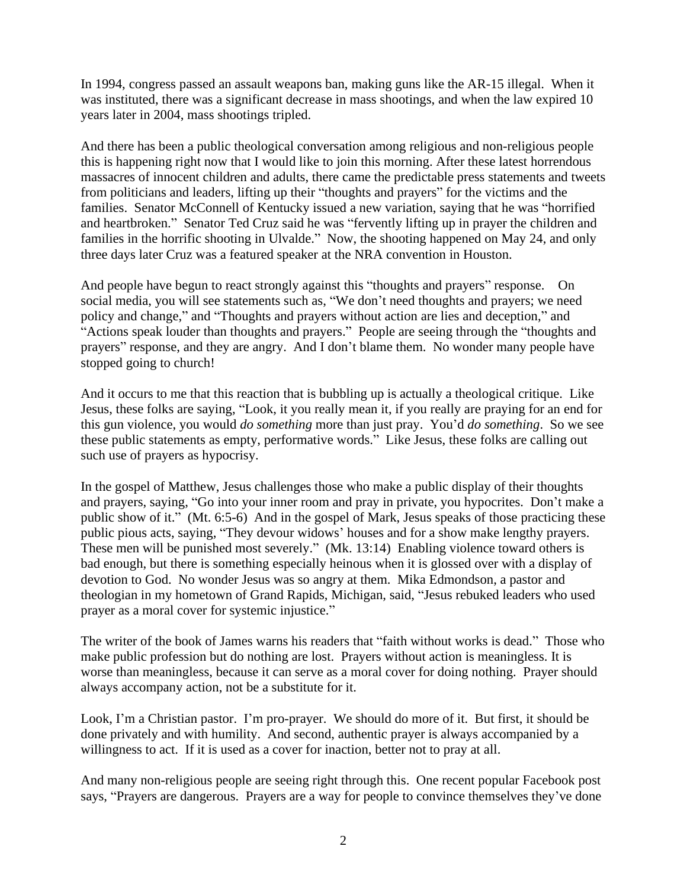In 1994, congress passed an assault weapons ban, making guns like the AR-15 illegal. When it was instituted, there was a significant decrease in mass shootings, and when the law expired 10 years later in 2004, mass shootings tripled.

And there has been a public theological conversation among religious and non-religious people this is happening right now that I would like to join this morning. After these latest horrendous massacres of innocent children and adults, there came the predictable press statements and tweets from politicians and leaders, lifting up their "thoughts and prayers" for the victims and the families. Senator McConnell of Kentucky issued a new variation, saying that he was "horrified and heartbroken." Senator Ted Cruz said he was "fervently lifting up in prayer the children and families in the horrific shooting in Ulvalde." Now, the shooting happened on May 24, and only three days later Cruz was a featured speaker at the NRA convention in Houston.

And people have begun to react strongly against this "thoughts and prayers" response. On social media, you will see statements such as, "We don't need thoughts and prayers; we need policy and change," and "Thoughts and prayers without action are lies and deception," and "Actions speak louder than thoughts and prayers." People are seeing through the "thoughts and prayers" response, and they are angry. And I don't blame them. No wonder many people have stopped going to church!

And it occurs to me that this reaction that is bubbling up is actually a theological critique. Like Jesus, these folks are saying, "Look, it you really mean it, if you really are praying for an end for this gun violence, you would *do something* more than just pray. You'd *do something*. So we see these public statements as empty, performative words." Like Jesus, these folks are calling out such use of prayers as hypocrisy.

In the gospel of Matthew, Jesus challenges those who make a public display of their thoughts and prayers, saying, "Go into your inner room and pray in private, you hypocrites. Don't make a public show of it." (Mt. 6:5-6) And in the gospel of Mark, Jesus speaks of those practicing these public pious acts, saying, "They devour widows' houses and for a show make lengthy prayers. These men will be punished most severely." (Mk. 13:14) Enabling violence toward others is bad enough, but there is something especially heinous when it is glossed over with a display of devotion to God. No wonder Jesus was so angry at them. Mika Edmondson, a pastor and theologian in my hometown of Grand Rapids, Michigan, said, "Jesus rebuked leaders who used prayer as a moral cover for systemic injustice."

The writer of the book of James warns his readers that "faith without works is dead." Those who make public profession but do nothing are lost. Prayers without action is meaningless. It is worse than meaningless, because it can serve as a moral cover for doing nothing. Prayer should always accompany action, not be a substitute for it.

Look, I'm a Christian pastor. I'm pro-prayer. We should do more of it. But first, it should be done privately and with humility. And second, authentic prayer is always accompanied by a willingness to act. If it is used as a cover for inaction, better not to pray at all.

And many non-religious people are seeing right through this. One recent popular Facebook post says, "Prayers are dangerous. Prayers are a way for people to convince themselves they've done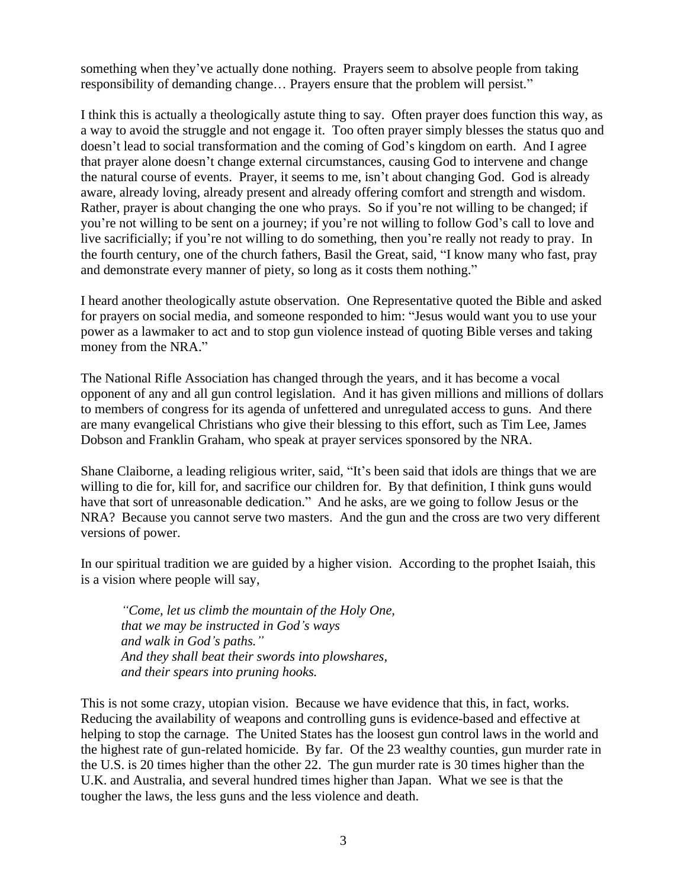something when they've actually done nothing. Prayers seem to absolve people from taking responsibility of demanding change… Prayers ensure that the problem will persist."

I think this is actually a theologically astute thing to say. Often prayer does function this way, as a way to avoid the struggle and not engage it. Too often prayer simply blesses the status quo and doesn't lead to social transformation and the coming of God's kingdom on earth. And I agree that prayer alone doesn't change external circumstances, causing God to intervene and change the natural course of events. Prayer, it seems to me, isn't about changing God. God is already aware, already loving, already present and already offering comfort and strength and wisdom. Rather, prayer is about changing the one who prays. So if you're not willing to be changed; if you're not willing to be sent on a journey; if you're not willing to follow God's call to love and live sacrificially; if you're not willing to do something, then you're really not ready to pray. In the fourth century, one of the church fathers, Basil the Great, said, "I know many who fast, pray and demonstrate every manner of piety, so long as it costs them nothing."

I heard another theologically astute observation. One Representative quoted the Bible and asked for prayers on social media, and someone responded to him: "Jesus would want you to use your power as a lawmaker to act and to stop gun violence instead of quoting Bible verses and taking money from the NRA."

The National Rifle Association has changed through the years, and it has become a vocal opponent of any and all gun control legislation. And it has given millions and millions of dollars to members of congress for its agenda of unfettered and unregulated access to guns. And there are many evangelical Christians who give their blessing to this effort, such as Tim Lee, James Dobson and Franklin Graham, who speak at prayer services sponsored by the NRA.

Shane Claiborne, a leading religious writer, said, "It's been said that idols are things that we are willing to die for, kill for, and sacrifice our children for. By that definition, I think guns would have that sort of unreasonable dedication." And he asks, are we going to follow Jesus or the NRA? Because you cannot serve two masters. And the gun and the cross are two very different versions of power.

In our spiritual tradition we are guided by a higher vision. According to the prophet Isaiah, this is a vision where people will say,

*"Come, let us climb the mountain of the Holy One, that we may be instructed in God's ways and walk in God's paths." And they shall beat their swords into plowshares, and their spears into pruning hooks.*

This is not some crazy, utopian vision. Because we have evidence that this, in fact, works. Reducing the availability of weapons and controlling guns is evidence-based and effective at helping to stop the carnage. The United States has the loosest gun control laws in the world and the highest rate of gun-related homicide. By far. Of the 23 wealthy counties, gun murder rate in the U.S. is 20 times higher than the other 22. The gun murder rate is 30 times higher than the U.K. and Australia, and several hundred times higher than Japan. What we see is that the tougher the laws, the less guns and the less violence and death.